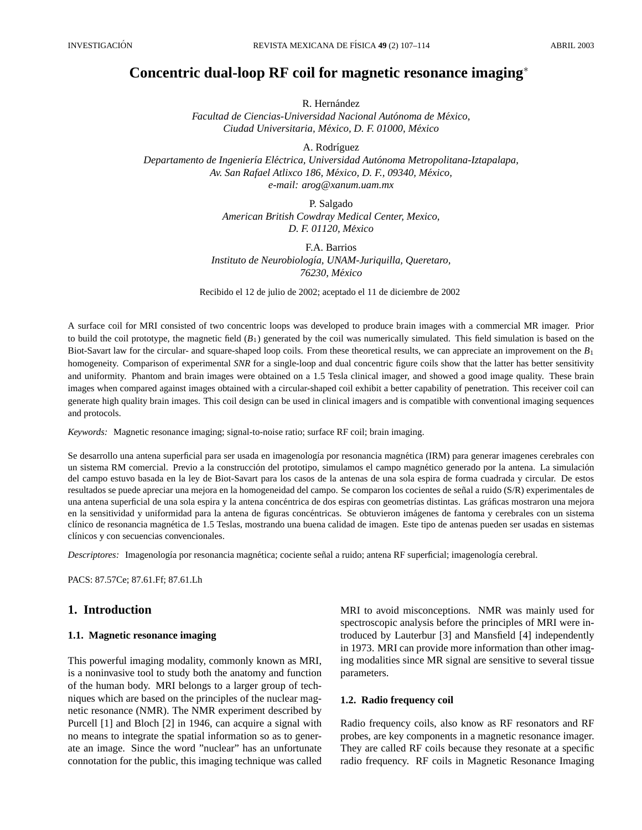# **Concentric dual-loop RF coil for magnetic resonance imaging**<sup>∗</sup>

R. Hernández

*Facultad de Ciencias-Universidad Nacional Autónoma de México, Ciudad Universitaria, Mexico, D. F. 01000, M ´ exico ´*

A. Rodríguez

*Departamento de Ingenier´ıa Electrica, Universidad Aut ´ onoma Metropolitana-Iztapalapa, ´ Av. San Rafael Atlixco 186, Mexico, D. F., 09340, M ´ exico, ´ e-mail: arog@xanum.uam.mx*

> P. Salgado *American British Cowdray Medical Center, Mexico, D. F. 01120, Mexico ´*

F.A. Barrios *Instituto de Neurobiolog´ıa, UNAM-Juriquilla, Queretaro, 76230, Mexico ´*

Recibido el 12 de julio de 2002; aceptado el 11 de diciembre de 2002

A surface coil for MRI consisted of two concentric loops was developed to produce brain images with a commercial MR imager. Prior to build the coil prototype, the magnetic field (*B*1) generated by the coil was numerically simulated. This field simulation is based on the Biot-Savart law for the circular- and square-shaped loop coils. From these theoretical results, we can appreciate an improvement on the *B*<sup>1</sup> homogeneity. Comparison of experimental SNR for a single-loop and dual concentric figure coils show that the latter has better sensitivity and uniformity. Phantom and brain images were obtained on a 1.5 Tesla clinical imager, and showed a good image quality. These brain images when compared against images obtained with a circular-shaped coil exhibit a better capability of penetration. This receiver coil can generate high quality brain images. This coil design can be used in clinical imagers and is compatible with conventional imaging sequences and protocols.

*Keywords:* Magnetic resonance imaging; signal-to-noise ratio; surface RF coil; brain imaging.

Se desarrollo una antena superficial para ser usada en imagenología por resonancia magnética (IRM) para generar imagenes cerebrales con un sistema RM comercial. Previo a la construcción del prototipo, simulamos el campo magnético generado por la antena. La simulación del campo estuvo basada en la ley de Biot-Savart para los casos de la antenas de una sola espira de forma cuadrada y circular. De estos resultados se puede apreciar una mejora en la homogeneidad del campo. Se comparon los cocientes de señal a ruido (S/R) experimentales de una antena superficial de una sola espira y la antena concéntrica de dos espiras con geometrías distintas. Las gráficas mostraron una mejora en la sensitividad y uniformidad para la antena de figuras concéntricas. Se obtuvieron imágenes de fantoma y cerebrales con un sistema clínico de resonancia magnética de 1.5 Teslas, mostrando una buena calidad de imagen. Este tipo de antenas pueden ser usadas en sistemas clínicos y con secuencias convencionales.

*Descriptores:* Imagenología por resonancia magnética; cociente señal a ruido; antena RF superficial; imagenología cerebral.

PACS: 87.57Ce; 87.61.Ff; 87.61.Lh

### **1. Introduction**

#### **1.1. Magnetic resonance imaging**

This powerful imaging modality, commonly known as MRI, is a noninvasive tool to study both the anatomy and function of the human body. MRI belongs to a larger group of techniques which are based on the principles of the nuclear magnetic resonance (NMR). The NMR experiment described by Purcell [1] and Bloch [2] in 1946, can acquire a signal with no means to integrate the spatial information so as to generate an image. Since the word "nuclear" has an unfortunate connotation for the public, this imaging technique was called

MRI to avoid misconceptions. NMR was mainly used for spectroscopic analysis before the principles of MRI were introduced by Lauterbur [3] and Mansfield [4] independently in 1973. MRI can provide more information than other imaging modalities since MR signal are sensitive to several tissue parameters.

### **1.2. Radio frequency coil**

Radio frequency coils, also know as RF resonators and RF probes, are key components in a magnetic resonance imager. They are called RF coils because they resonate at a specific radio frequency. RF coils in Magnetic Resonance Imaging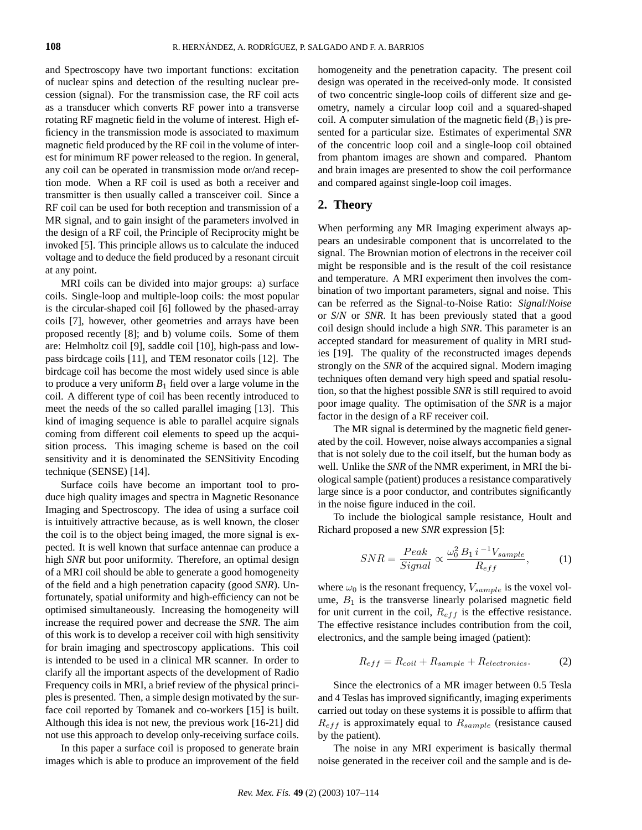and Spectroscopy have two important functions: excitation of nuclear spins and detection of the resulting nuclear precession (signal). For the transmission case, the RF coil acts as a transducer which converts RF power into a transverse rotating RF magnetic field in the volume of interest. High efficiency in the transmission mode is associated to maximum magnetic field produced by the RF coil in the volume of interest for minimum RF power released to the region. In general, any coil can be operated in transmission mode or/and reception mode. When a RF coil is used as both a receiver and transmitter is then usually called a transceiver coil. Since a RF coil can be used for both reception and transmission of a MR signal, and to gain insight of the parameters involved in the design of a RF coil, the Principle of Reciprocity might be invoked [5]. This principle allows us to calculate the induced voltage and to deduce the field produced by a resonant circuit at any point.

MRI coils can be divided into major groups: a) surface coils. Single-loop and multiple-loop coils: the most popular is the circular-shaped coil [6] followed by the phased-array coils [7], however, other geometries and arrays have been proposed recently [8]; and b) volume coils. Some of them are: Helmholtz coil [9], saddle coil [10], high-pass and lowpass birdcage coils [11], and TEM resonator coils [12]. The birdcage coil has become the most widely used since is able to produce a very uniform  $B_1$  field over a large volume in the coil. A different type of coil has been recently introduced to meet the needs of the so called parallel imaging [13]. This kind of imaging sequence is able to parallel acquire signals coming from different coil elements to speed up the acquisition process. This imaging scheme is based on the coil sensitivity and it is denominated the SENSitivity Encoding technique (SENSE) [14].

Surface coils have become an important tool to produce high quality images and spectra in Magnetic Resonance Imaging and Spectroscopy. The idea of using a surface coil is intuitively attractive because, as is well known, the closer the coil is to the object being imaged, the more signal is expected. It is well known that surface antennae can produce a high *SNR* but poor uniformity. Therefore, an optimal design of a MRI coil should be able to generate a good homogeneity of the field and a high penetration capacity (good *SNR*). Unfortunately, spatial uniformity and high-efficiency can not be optimised simultaneously. Increasing the homogeneity will increase the required power and decrease the *SNR*. The aim of this work is to develop a receiver coil with high sensitivity for brain imaging and spectroscopy applications. This coil is intended to be used in a clinical MR scanner. In order to clarify all the important aspects of the development of Radio Frequency coils in MRI, a brief review of the physical principles is presented. Then, a simple design motivated by the surface coil reported by Tomanek and co-workers [15] is built. Although this idea is not new, the previous work [16-21] did not use this approach to develop only-receiving surface coils.

In this paper a surface coil is proposed to generate brain images which is able to produce an improvement of the field homogeneity and the penetration capacity. The present coil design was operated in the received-only mode. It consisted of two concentric single-loop coils of different size and geometry, namely a circular loop coil and a squared-shaped coil. A computer simulation of the magnetic field  $(B_1)$  is presented for a particular size. Estimates of experimental *SNR* of the concentric loop coil and a single-loop coil obtained from phantom images are shown and compared. Phantom and brain images are presented to show the coil performance and compared against single-loop coil images.

### **2. Theory**

When performing any MR Imaging experiment always appears an undesirable component that is uncorrelated to the signal. The Brownian motion of electrons in the receiver coil might be responsible and is the result of the coil resistance and temperature. A MRI experiment then involves the combination of two important parameters, signal and noise. This can be referred as the Signal-to-Noise Ratio: *Signal*/*Noise* or *S*/*N* or *SNR*. It has been previously stated that a good coil design should include a high *SNR*. This parameter is an accepted standard for measurement of quality in MRI studies [19]. The quality of the reconstructed images depends strongly on the *SNR* of the acquired signal. Modern imaging techniques often demand very high speed and spatial resolution, so that the highest possible *SNR* is still required to avoid poor image quality. The optimisation of the *SNR* is a major factor in the design of a RF receiver coil.

The MR signal is determined by the magnetic field generated by the coil. However, noise always accompanies a signal that is not solely due to the coil itself, but the human body as well. Unlike the *SNR* of the NMR experiment, in MRI the biological sample (patient) produces a resistance comparatively large since is a poor conductor, and contributes significantly in the noise figure induced in the coil.

To include the biological sample resistance, Hoult and Richard proposed a new *SNR* expression [5]:

$$
SNR = \frac{Peak}{Signal} \propto \frac{\omega_0^2 B_1 i^{-1} V_{sample}}{R_{eff}},\tag{1}
$$

where  $\omega_0$  is the resonant frequency,  $V_{sample}$  is the voxel volume,  $B_1$  is the transverse linearly polarised magnetic field for unit current in the coil,  $R_{eff}$  is the effective resistance. The effective resistance includes contribution from the coil, electronics, and the sample being imaged (patient):

$$
R_{eff} = R_{coil} + R_{sample} + R_{electronics}.
$$
 (2)

Since the electronics of a MR imager between 0.5 Tesla and 4 Teslas has improved significantly, imaging experiments carried out today on these systems it is possible to affirm that  $R_{eff}$  is approximately equal to  $R_{sample}$  (resistance caused by the patient).

The noise in any MRI experiment is basically thermal noise generated in the receiver coil and the sample and is de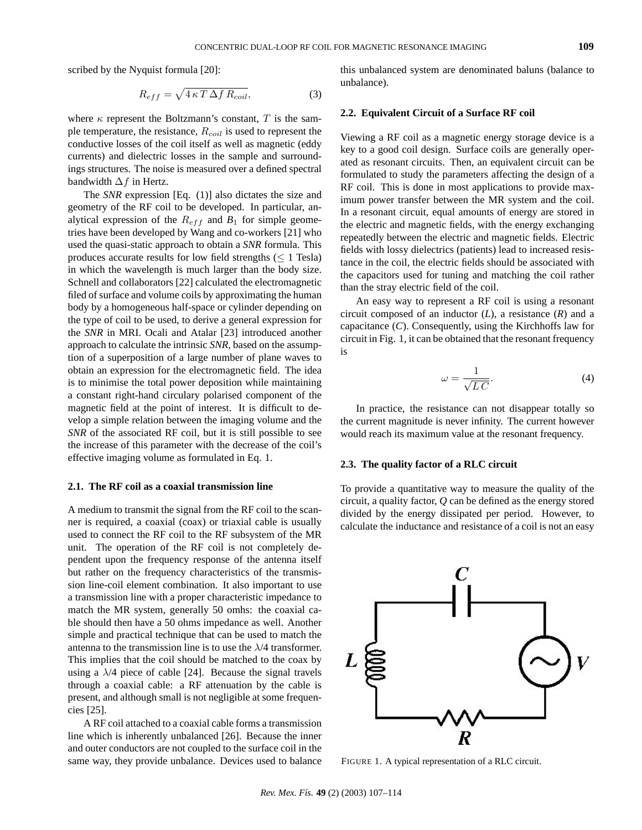scribed by the Nyquist formula [20]:

$$
R_{eff} = \sqrt{4 \kappa T \Delta f R_{coil}}, \tag{3}
$$

where  $\kappa$  represent the Boltzmann's constant, T is the sample temperature, the resistance,  $R_{coil}$  is used to represent the conductive losses of the coil itself as well as magnetic (eddy currents) and dielectric losses in the sample and surroundings structures. The noise is measured over a defined spectral bandwidth  $\Delta f$  in Hertz.

The *SNR* expression [Eq. (1)] also dictates the size and geometry of the RF coil to be developed. In particular, analytical expression of the  $R_{eff}$  and  $B_1$  for simple geometries have been developed by Wang and co-workers [21] who used the quasi-static approach to obtain a *SNR* formula. This produces accurate results for low field strengths  $(\leq 1$  Tesla) in which the wavelength is much larger than the body size. Schnell and collaborators [22] calculated the electromagnetic filed of surface and volume coils by approximating the human body by a homogeneous half-space or cylinder depending on the type of coil to be used, to derive a general expression for the *SNR* in MRI. Ocali and Atalar [23] introduced another approach to calculate the intrinsic *SNR*, based on the assumption of a superposition of a large number of plane waves to obtain an expression for the electromagnetic field. The idea is to minimise the total power deposition while maintaining a constant right-hand circulary polarised component of the magnetic field at the point of interest. It is difficult to develop a simple relation between the imaging volume and the *SNR* of the associated RF coil, but it is still possible to see the increase of this parameter with the decrease of the coil's effective imaging volume as formulated in Eq. 1.

#### **2.1. The RF coil as a coaxial transmission line**

A medium to transmit the signal from the RF coil to the scanner is required, a coaxial (coax) or triaxial cable is usually used to connect the RF coil to the RF subsystem of the MR unit. The operation of the RF coil is not completely dependent upon the frequency response of the antenna itself but rather on the frequency characteristics of the transmission line-coil element combination. It also important to use a transmission line with a proper characteristic impedance to match the MR system, generally 50 omhs: the coaxial cable should then have a 50 ohms impedance as well. Another simple and practical technique that can be used to match the antenna to the transmission line is to use the  $\lambda/4$  transformer. This implies that the coil should be matched to the coax by using a  $\lambda$ /4 piece of cable [24]. Because the signal travels through a coaxial cable: a RF attenuation by the cable is present, and although small is not negligible at some frequencies [25].

A RF coil attached to a coaxial cable forms a transmission line which is inherently unbalanced [26]. Because the inner and outer conductors are not coupled to the surface coil in the same way, they provide unbalance. Devices used to balance this unbalanced system are denominated baluns (balance to unbalance).

#### **2.2. Equivalent Circuit of a Surface RF coil**

Viewing a RF coil as a magnetic energy storage device is a key to a good coil design. Surface coils are generally operated as resonant circuits. Then, an equivalent circuit can be formulated to study the parameters affecting the design of a RF coil. This is done in most applications to provide maximum power transfer between the MR system and the coil. In a resonant circuit, equal amounts of energy are stored in the electric and magnetic fields, with the energy exchanging repeatedly between the electric and magnetic fields. Electric fields with lossy dielectrics (patients) lead to increased resistance in the coil, the electric fields should be associated with the capacitors used for tuning and matching the coil rather than the stray electric field of the coil.

An easy way to represent a RF coil is using a resonant circuit composed of an inductor (*L*), a resistance (*R*) and a capacitance (*C*). Consequently, using the Kirchhoffs law for circuit in Fig. 1, it can be obtained that the resonant frequency is

$$
\omega = \frac{1}{\sqrt{LC}}.\tag{4}
$$

In practice, the resistance can not disappear totally so the current magnitude is never infinity. The current however would reach its maximum value at the resonant frequency.

#### **2.3. The quality factor of a RLC circuit**

To provide a quantitative way to measure the quality of the circuit, a quality factor, *Q* can be defined as the energy stored divided by the energy dissipated per period. However, to calculate the inductance and resistance of a coil is not an easy



FIGURE 1. A typical representation of a RLC circuit.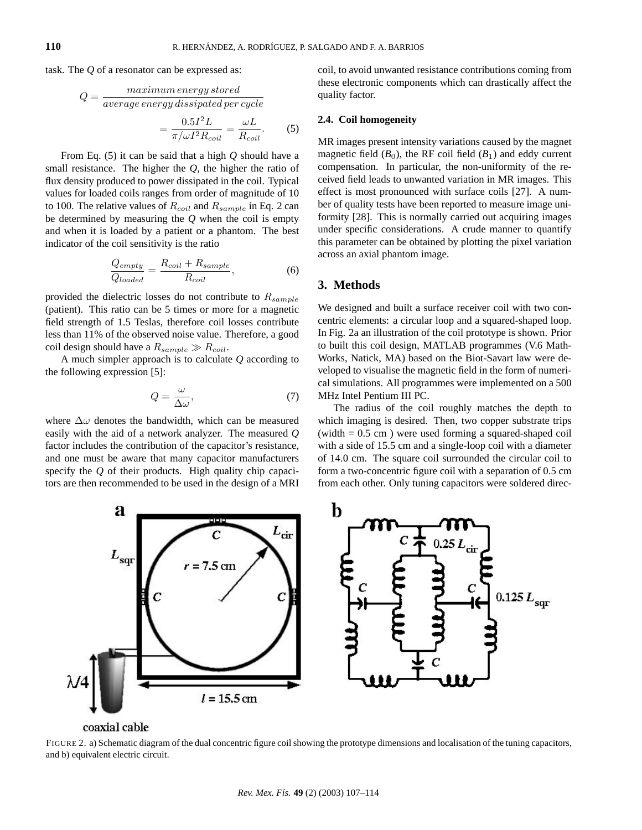task. The *Q* of a resonator can be expressed as:

$$
Q = \frac{maximum\ energy\ stored}{average\ energy\ dissipated\ per\ cycle}
$$

$$
= \frac{0.5I^2L}{\pi/\omega I^2 R_{coil}} = \frac{\omega L}{R_{coil}}.
$$
(5)

From Eq. (5) it can be said that a high *Q* should have a small resistance. The higher the *Q*, the higher the ratio of flux density produced to power dissipated in the coil. Typical values for loaded coils ranges from order of magnitude of 10 to 100. The relative values of  $R_{coil}$  and  $R_{sample}$  in Eq. 2 can be determined by measuring the *Q* when the coil is empty and when it is loaded by a patient or a phantom. The best indicator of the coil sensitivity is the ratio

$$
\frac{Q_{empty}}{Q_{loaded}} = \frac{R_{coil} + R_{sample}}{R_{coil}},
$$
\n(6)

provided the dielectric losses do not contribute to  $R_{sample}$ (patient). This ratio can be 5 times or more for a magnetic field strength of 1.5 Teslas, therefore coil losses contribute less than 11% of the observed noise value. Therefore, a good coil design should have a  $R_{sample} \gg R_{coil}$ .

A much simpler approach is to calculate *Q* according to the following expression [5]:

$$
Q = \frac{\omega}{\Delta \omega},\tag{7}
$$

where  $\Delta\omega$  denotes the bandwidth, which can be measured easily with the aid of a network analyzer. The measured *Q* factor includes the contribution of the capacitor's resistance, and one must be aware that many capacitor manufacturers specify the *Q* of their products. High quality chip capacitors are then recommended to be used in the design of a MRI coil, to avoid unwanted resistance contributions coming from these electronic components which can drastically affect the quality factor.

### **2.4. Coil homogeneity**

MR images present intensity variations caused by the magnet magnetic field  $(B_0)$ , the RF coil field  $(B_1)$  and eddy current compensation. In particular, the non-uniformity of the received field leads to unwanted variation in MR images. This effect is most pronounced with surface coils [27]. A number of quality tests have been reported to measure image uniformity [28]. This is normally carried out acquiring images under specific considerations. A crude manner to quantify this parameter can be obtained by plotting the pixel variation across an axial phantom image.

### **3. Methods**

We designed and built a surface receiver coil with two concentric elements: a circular loop and a squared-shaped loop. In Fig. 2a an illustration of the coil prototype is shown. Prior to built this coil design, MATLAB programmes (V.6 Math-Works, Natick, MA) based on the Biot-Savart law were developed to visualise the magnetic field in the form of numerical simulations. All programmes were implemented on a 500 MHz Intel Pentium III PC.

The radius of the coil roughly matches the depth to which imaging is desired. Then, two copper substrate trips (width  $= 0.5$  cm) were used forming a squared-shaped coil with a side of 15.5 cm and a single-loop coil with a diameter of 14.0 cm. The square coil surrounded the circular coil to form a two-concentric figure coil with a separation of 0.5 cm from each other. Only tuning capacitors were soldered direc-



coaxial cable

FIGURE 2. a) Schematic diagram of the dual concentric figure coil showing the prototype dimensions and localisation of the tuning capacitors, and b) equivalent electric circuit.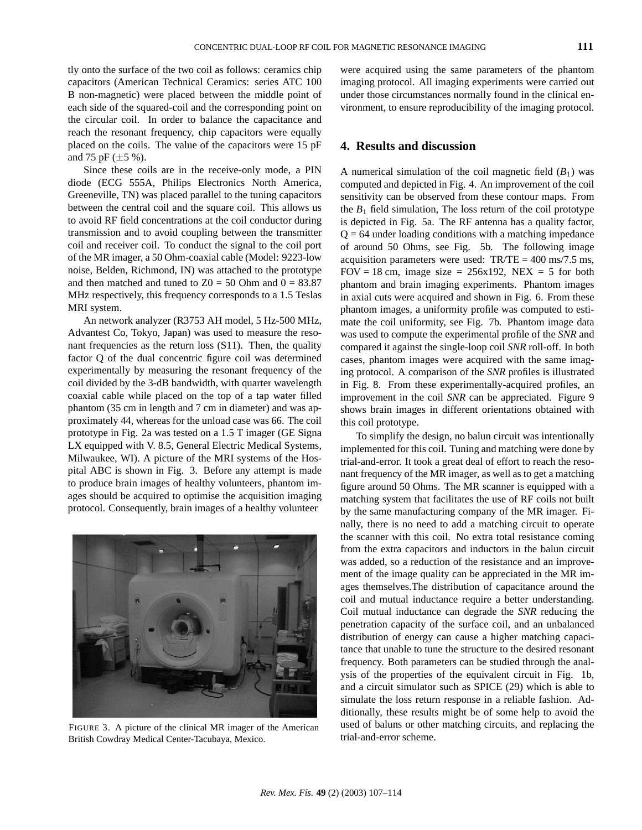tly onto the surface of the two coil as follows: ceramics chip capacitors (American Technical Ceramics: series ATC 100 B non-magnetic) were placed between the middle point of each side of the squared-coil and the corresponding point on the circular coil. In order to balance the capacitance and reach the resonant frequency, chip capacitors were equally placed on the coils. The value of the capacitors were 15 pF and 75 pF  $(\pm 5 \%)$ .

Since these coils are in the receive-only mode, a PIN diode (ECG 555A, Philips Electronics North America, Greeneville, TN) was placed parallel to the tuning capacitors between the central coil and the square coil. This allows us to avoid RF field concentrations at the coil conductor during transmission and to avoid coupling between the transmitter coil and receiver coil. To conduct the signal to the coil port of the MR imager, a 50 Ohm-coaxial cable (Model: 9223-low noise, Belden, Richmond, IN) was attached to the prototype and then matched and tuned to  $Z0 = 50$  Ohm and  $0 = 83.87$ MHz respectively, this frequency corresponds to a 1.5 Teslas MRI system.

An network analyzer (R3753 AH model, 5 Hz-500 MHz, Advantest Co, Tokyo, Japan) was used to measure the resonant frequencies as the return loss (S11). Then, the quality factor Q of the dual concentric figure coil was determined experimentally by measuring the resonant frequency of the coil divided by the 3-dB bandwidth, with quarter wavelength coaxial cable while placed on the top of a tap water filled phantom (35 cm in length and 7 cm in diameter) and was approximately 44, whereas for the unload case was 66. The coil prototype in Fig. 2a was tested on a 1.5 T imager (GE Signa LX equipped with V. 8.5, General Electric Medical Systems, Milwaukee, WI). A picture of the MRI systems of the Hospital ABC is shown in Fig. 3. Before any attempt is made to produce brain images of healthy volunteers, phantom images should be acquired to optimise the acquisition imaging protocol. Consequently, brain images of a healthy volunteer



FIGURE 3. A picture of the clinical MR imager of the American British Cowdray Medical Center-Tacubaya, Mexico.

were acquired using the same parameters of the phantom imaging protocol. All imaging experiments were carried out under those circumstances normally found in the clinical environment, to ensure reproducibility of the imaging protocol.

## **4. Results and discussion**

A numerical simulation of the coil magnetic field  $(B_1)$  was computed and depicted in Fig. 4. An improvement of the coil sensitivity can be observed from these contour maps. From the  $B_1$  field simulation, The loss return of the coil prototype is depicted in Fig. 5a. The RF antenna has a quality factor,  $Q = 64$  under loading conditions with a matching impedance of around 50 Ohms, see Fig. 5b. The following image acquisition parameters were used:  $TR/TE = 400$  ms/7.5 ms, FOV = 18 cm, image size =  $256x192$ , NEX = 5 for both phantom and brain imaging experiments. Phantom images in axial cuts were acquired and shown in Fig. 6. From these phantom images, a uniformity profile was computed to estimate the coil uniformity, see Fig. 7b. Phantom image data was used to compute the experimental profile of the *SNR* and compared it against the single-loop coil *SNR* roll-off. In both cases, phantom images were acquired with the same imaging protocol. A comparison of the *SNR* profiles is illustrated in Fig. 8. From these experimentally-acquired profiles, an improvement in the coil *SNR* can be appreciated. Figure 9 shows brain images in different orientations obtained with this coil prototype.

To simplify the design, no balun circuit was intentionally implemented for this coil. Tuning and matching were done by trial-and-error. It took a great deal of effort to reach the resonant frequency of the MR imager, as well as to get a matching figure around 50 Ohms. The MR scanner is equipped with a matching system that facilitates the use of RF coils not built by the same manufacturing company of the MR imager. Finally, there is no need to add a matching circuit to operate the scanner with this coil. No extra total resistance coming from the extra capacitors and inductors in the balun circuit was added, so a reduction of the resistance and an improvement of the image quality can be appreciated in the MR images themselves.The distribution of capacitance around the coil and mutual inductance require a better understanding. Coil mutual inductance can degrade the *SNR* reducing the penetration capacity of the surface coil, and an unbalanced distribution of energy can cause a higher matching capacitance that unable to tune the structure to the desired resonant frequency. Both parameters can be studied through the analysis of the properties of the equivalent circuit in Fig. 1b, and a circuit simulator such as SPICE (29) which is able to simulate the loss return response in a reliable fashion. Additionally, these results might be of some help to avoid the used of baluns or other matching circuits, and replacing the trial-and-error scheme.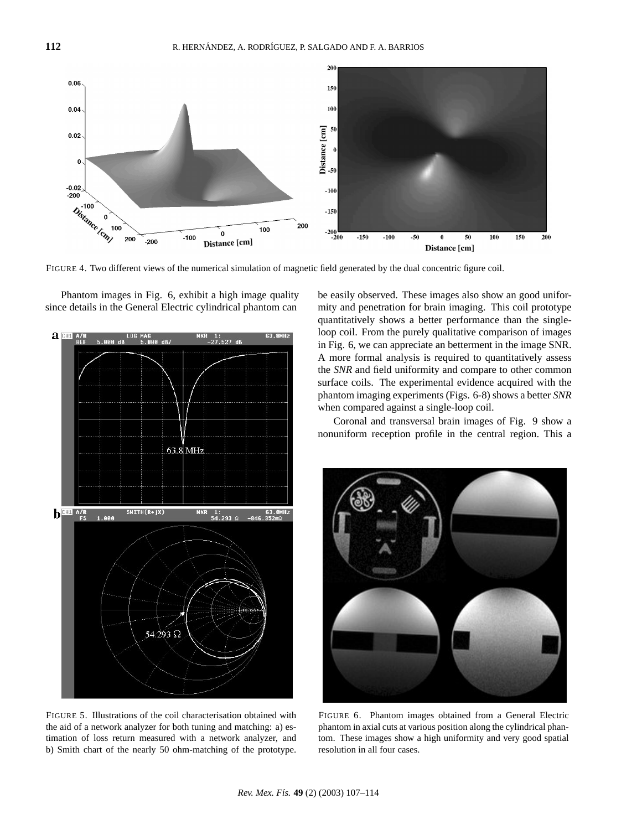

FIGURE 4. Two different views of the numerical simulation of magnetic field generated by the dual concentric figure coil.



FIGURE 5. Illustrations of the coil characterisation obtained with the aid of a network analyzer for both tuning and matching: a) estimation of loss return measured with a network analyzer, and b) Smith chart of the nearly 50 ohm-matching of the prototype.

be easily observed. These images also show an good uniformity and penetration for brain imaging. This coil prototype quantitatively shows a better performance than the singleloop coil. From the purely qualitative comparison of images in Fig. 6, we can appreciate an betterment in the image SNR. A more formal analysis is required to quantitatively assess the *SNR* and field uniformity and compare to other common surface coils. The experimental evidence acquired with the phantom imaging experiments (Figs. 6-8) shows a better *SNR* when compared against a single-loop coil.

Coronal and transversal brain images of Fig. 9 show a nonuniform reception profile in the central region. This a



FIGURE 6. Phantom images obtained from a General Electric phantom in axial cuts at various position along the cylindrical phantom. These images show a high uniformity and very good spatial resolution in all four cases.

Phantom images in Fig. 6, exhibit a high image quality since details in the General Electric cylindrical phantom can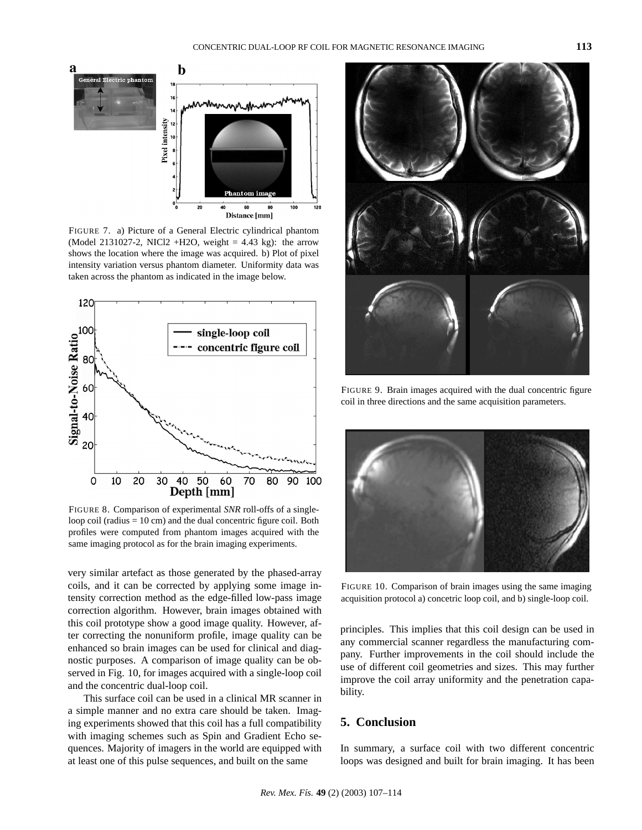

FIGURE 7. a) Picture of a General Electric cylindrical phantom (Model 2131027-2, NICl2 +H2O, weight  $= 4.43$  kg): the arrow shows the location where the image was acquired. b) Plot of pixel intensity variation versus phantom diameter. Uniformity data was taken across the phantom as indicated in the image below.



FIGURE 8. Comparison of experimental *SNR* roll-offs of a singleloop coil (radius = 10 cm) and the dual concentric figure coil. Both profiles were computed from phantom images acquired with the same imaging protocol as for the brain imaging experiments.

very similar artefact as those generated by the phased-array coils, and it can be corrected by applying some image intensity correction method as the edge-filled low-pass image correction algorithm. However, brain images obtained with this coil prototype show a good image quality. However, after correcting the nonuniform profile, image quality can be enhanced so brain images can be used for clinical and diagnostic purposes. A comparison of image quality can be observed in Fig. 10, for images acquired with a single-loop coil and the concentric dual-loop coil.

This surface coil can be used in a clinical MR scanner in a simple manner and no extra care should be taken. Imaging experiments showed that this coil has a full compatibility with imaging schemes such as Spin and Gradient Echo sequences. Majority of imagers in the world are equipped with at least one of this pulse sequences, and built on the same



FIGURE 9. Brain images acquired with the dual concentric figure coil in three directions and the same acquisition parameters.



FIGURE 10. Comparison of brain images using the same imaging acquisition protocol a) concetric loop coil, and b) single-loop coil.

principles. This implies that this coil design can be used in any commercial scanner regardless the manufacturing company. Further improvements in the coil should include the use of different coil geometries and sizes. This may further improve the coil array uniformity and the penetration capability.

# **5. Conclusion**

In summary, a surface coil with two different concentric loops was designed and built for brain imaging. It has been